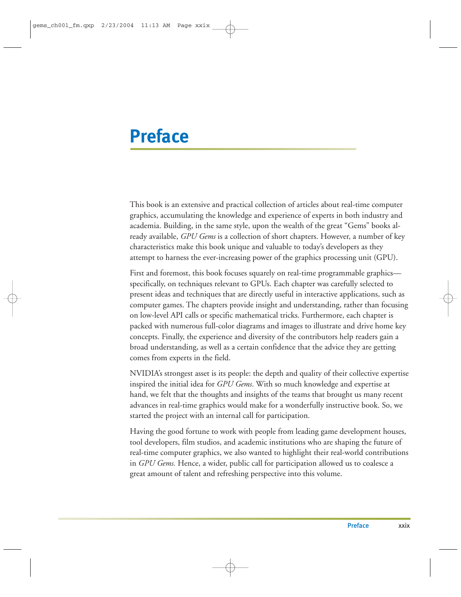## **Preface**

This book is an extensive and practical collection of articles about real-time computer graphics, accumulating the knowledge and experience of experts in both industry and academia. Building, in the same style, upon the wealth of the great "Gems" books already available, *GPU Gems* is a collection of short chapters. However, a number of key characteristics make this book unique and valuable to today's developers as they attempt to harness the ever-increasing power of the graphics processing unit (GPU).

First and foremost, this book focuses squarely on real-time programmable graphics specifically, on techniques relevant to GPUs. Each chapter was carefully selected to present ideas and techniques that are directly useful in interactive applications, such as computer games. The chapters provide insight and understanding, rather than focusing on low-level API calls or specific mathematical tricks. Furthermore, each chapter is packed with numerous full-color diagrams and images to illustrate and drive home key concepts. Finally, the experience and diversity of the contributors help readers gain a broad understanding, as well as a certain confidence that the advice they are getting comes from experts in the field.

NVIDIA's strongest asset is its people: the depth and quality of their collective expertise inspired the initial idea for *GPU Gems*. With so much knowledge and expertise at hand, we felt that the thoughts and insights of the teams that brought us many recent advances in real-time graphics would make for a wonderfully instructive book. So, we started the project with an internal call for participation.

Having the good fortune to work with people from leading game development houses, tool developers, film studios, and academic institutions who are shaping the future of real-time computer graphics, we also wanted to highlight their real-world contributions in *GPU Gems.* Hence, a wider, public call for participation allowed us to coalesce a great amount of talent and refreshing perspective into this volume.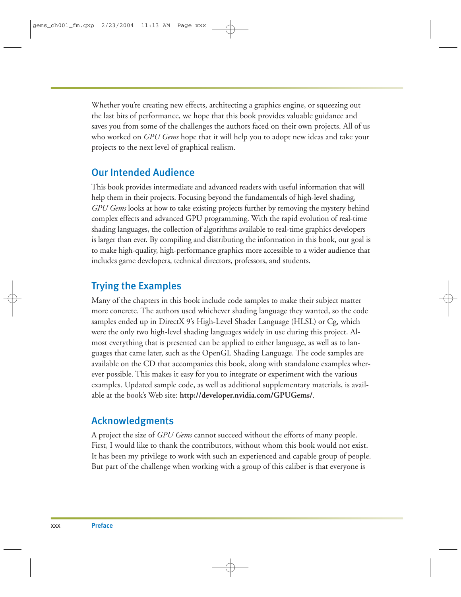Whether you're creating new effects, architecting a graphics engine, or squeezing out the last bits of performance, we hope that this book provides valuable guidance and saves you from some of the challenges the authors faced on their own projects. All of us who worked on *GPU Gems* hope that it will help you to adopt new ideas and take your projects to the next level of graphical realism.

## Our Intended Audience

This book provides intermediate and advanced readers with useful information that will help them in their projects. Focusing beyond the fundamentals of high-level shading, *GPU Gems* looks at how to take existing projects further by removing the mystery behind complex effects and advanced GPU programming. With the rapid evolution of real-time shading languages, the collection of algorithms available to real-time graphics developers is larger than ever. By compiling and distributing the information in this book, our goal is to make high-quality, high-performance graphics more accessible to a wider audience that includes game developers, technical directors, professors, and students.

## Trying the Examples

Many of the chapters in this book include code samples to make their subject matter more concrete. The authors used whichever shading language they wanted, so the code samples ended up in DirectX 9's High-Level Shader Language (HLSL) or Cg, which were the only two high-level shading languages widely in use during this project. Almost everything that is presented can be applied to either language, as well as to languages that came later, such as the OpenGL Shading Language. The code samples are available on the CD that accompanies this book, along with standalone examples wherever possible. This makes it easy for you to integrate or experiment with the various examples. Updated sample code, as well as additional supplementary materials, is available at the book's Web site: **http://developer.nvidia.com/GPUGems/**.

## Acknowledgments

A project the size of *GPU Gems* cannot succeed without the efforts of many people. First, I would like to thank the contributors, without whom this book would not exist. It has been my privilege to work with such an experienced and capable group of people. But part of the challenge when working with a group of this caliber is that everyone is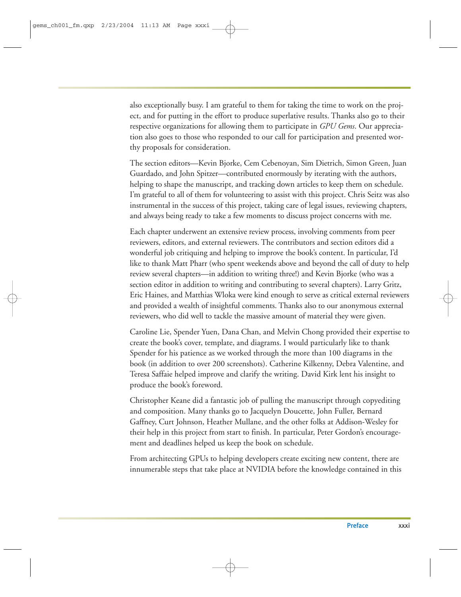also exceptionally busy. I am grateful to them for taking the time to work on the project, and for putting in the effort to produce superlative results. Thanks also go to their respective organizations for allowing them to participate in *GPU Gems*. Our appreciation also goes to those who responded to our call for participation and presented worthy proposals for consideration.

The section editors—Kevin Bjorke, Cem Cebenoyan, Sim Dietrich, Simon Green, Juan Guardado, and John Spitzer—contributed enormously by iterating with the authors, helping to shape the manuscript, and tracking down articles to keep them on schedule. I'm grateful to all of them for volunteering to assist with this project. Chris Seitz was also instrumental in the success of this project, taking care of legal issues, reviewing chapters, and always being ready to take a few moments to discuss project concerns with me.

Each chapter underwent an extensive review process, involving comments from peer reviewers, editors, and external reviewers. The contributors and section editors did a wonderful job critiquing and helping to improve the book's content. In particular, I'd like to thank Matt Pharr (who spent weekends above and beyond the call of duty to help review several chapters—in addition to writing three!) and Kevin Bjorke (who was a section editor in addition to writing and contributing to several chapters). Larry Gritz, Eric Haines, and Matthias Wloka were kind enough to serve as critical external reviewers and provided a wealth of insightful comments. Thanks also to our anonymous external reviewers, who did well to tackle the massive amount of material they were given.

Caroline Lie, Spender Yuen, Dana Chan, and Melvin Chong provided their expertise to create the book's cover, template, and diagrams. I would particularly like to thank Spender for his patience as we worked through the more than 100 diagrams in the book (in addition to over 200 screenshots). Catherine Kilkenny, Debra Valentine, and Teresa Saffaie helped improve and clarify the writing. David Kirk lent his insight to produce the book's foreword.

Christopher Keane did a fantastic job of pulling the manuscript through copyediting and composition. Many thanks go to Jacquelyn Doucette, John Fuller, Bernard Gaffney, Curt Johnson, Heather Mullane, and the other folks at Addison-Wesley for their help in this project from start to finish. In particular, Peter Gordon's encouragement and deadlines helped us keep the book on schedule.

From architecting GPUs to helping developers create exciting new content, there are innumerable steps that take place at NVIDIA before the knowledge contained in this